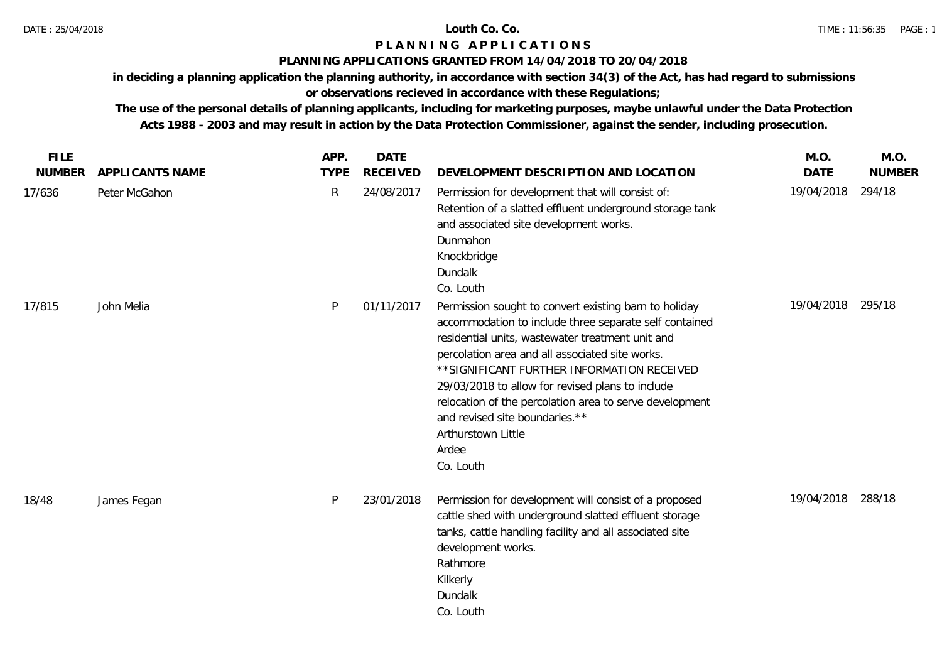### **PLANNING APPLICATIONS GRANTED FROM 14/04/2018 TO 20/04/2018**

**in deciding a planning application the planning authority, in accordance with section 34(3) of the Act, has had regard to submissions** 

# **or observations recieved in accordance with these Regulations;**

**The use of the personal details of planning applicants, including for marketing purposes, maybe unlawful under the Data Protection Acts 1988 - 2003 and may result in action by the Data Protection Commissioner, against the sender, including prosecution.**

| <b>FILE</b>   |                        | APP.         | <b>DATE</b>     |                                                                                                                                                                                                                                                                                                                                                                                                                                                                    | M.O.        | M.O.          |
|---------------|------------------------|--------------|-----------------|--------------------------------------------------------------------------------------------------------------------------------------------------------------------------------------------------------------------------------------------------------------------------------------------------------------------------------------------------------------------------------------------------------------------------------------------------------------------|-------------|---------------|
| <b>NUMBER</b> | <b>APPLICANTS NAME</b> | <b>TYPE</b>  | <b>RECEIVED</b> | DEVELOPMENT DESCRIPTION AND LOCATION                                                                                                                                                                                                                                                                                                                                                                                                                               | <b>DATE</b> | <b>NUMBER</b> |
| 17/636        | Peter McGahon          | $\mathsf{R}$ | 24/08/2017      | Permission for development that will consist of:<br>Retention of a slatted effluent underground storage tank<br>and associated site development works.<br>Dunmahon<br>Knockbridge<br>Dundalk<br>Co. Louth                                                                                                                                                                                                                                                          | 19/04/2018  | 294/18        |
| 17/815        | John Melia             | P            | 01/11/2017      | Permission sought to convert existing barn to holiday<br>accommodation to include three separate self contained<br>residential units, wastewater treatment unit and<br>percolation area and all associated site works.<br>** SIGNIFICANT FURTHER INFORMATION RECEIVED<br>29/03/2018 to allow for revised plans to include<br>relocation of the percolation area to serve development<br>and revised site boundaries.**<br>Arthurstown Little<br>Ardee<br>Co. Louth | 19/04/2018  | 295/18        |
| 18/48         | James Fegan            | P            | 23/01/2018      | Permission for development will consist of a proposed<br>cattle shed with underground slatted effluent storage<br>tanks, cattle handling facility and all associated site<br>development works.<br>Rathmore<br>Kilkerly<br>Dundalk<br>Co. Louth                                                                                                                                                                                                                    | 19/04/2018  | 288/18        |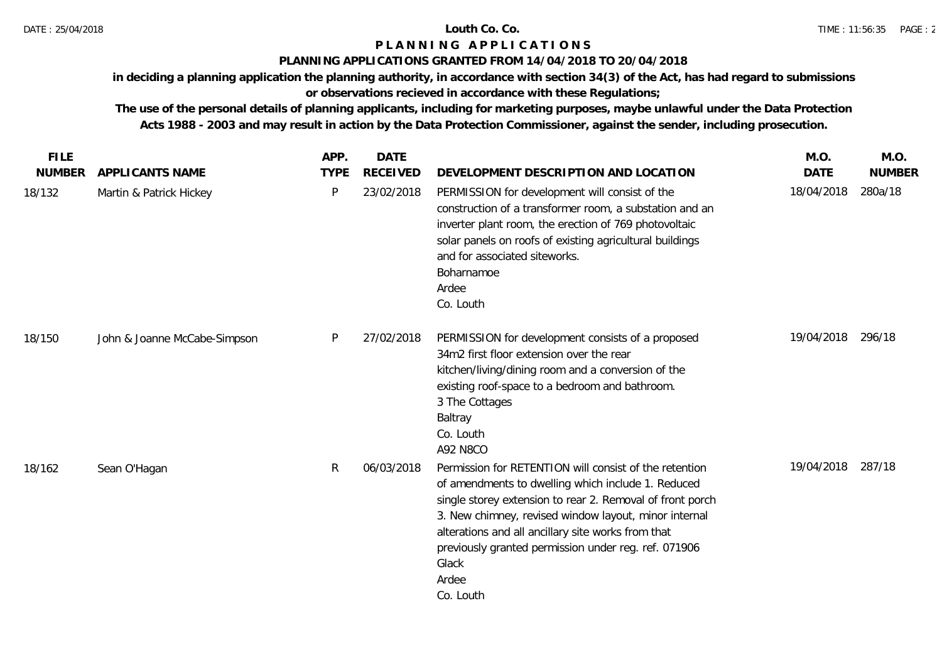### **PLANNING APPLICATIONS GRANTED FROM 14/04/2018 TO 20/04/2018**

**in deciding a planning application the planning authority, in accordance with section 34(3) of the Act, has had regard to submissions** 

# **or observations recieved in accordance with these Regulations;**

**The use of the personal details of planning applicants, including for marketing purposes, maybe unlawful under the Data Protection Acts 1988 - 2003 and may result in action by the Data Protection Commissioner, against the sender, including prosecution.**

| <b>FILE</b>   |                              | APP.         | <b>DATE</b>     |                                                                                                                                                                                                                                                                                                                                                                                 | M.O.        | M.O.          |
|---------------|------------------------------|--------------|-----------------|---------------------------------------------------------------------------------------------------------------------------------------------------------------------------------------------------------------------------------------------------------------------------------------------------------------------------------------------------------------------------------|-------------|---------------|
| <b>NUMBER</b> | APPLICANTS NAME              | <b>TYPE</b>  | <b>RECEIVED</b> | DEVELOPMENT DESCRIPTION AND LOCATION                                                                                                                                                                                                                                                                                                                                            | <b>DATE</b> | <b>NUMBER</b> |
| 18/132        | Martin & Patrick Hickey      | P            | 23/02/2018      | PERMISSION for development will consist of the<br>construction of a transformer room, a substation and an<br>inverter plant room, the erection of 769 photovoltaic<br>solar panels on roofs of existing agricultural buildings<br>and for associated siteworks.<br>Boharnamoe<br>Ardee<br>Co. Louth                                                                             | 18/04/2018  | 280a/18       |
| 18/150        | John & Joanne McCabe-Simpson | P            | 27/02/2018      | PERMISSION for development consists of a proposed<br>34m2 first floor extension over the rear<br>kitchen/living/dining room and a conversion of the<br>existing roof-space to a bedroom and bathroom.<br>3 The Cottages<br>Baltray<br>Co. Louth<br>A92 N8CO                                                                                                                     | 19/04/2018  | 296/18        |
| 18/162        | Sean O'Hagan                 | $\mathsf{R}$ | 06/03/2018      | Permission for RETENTION will consist of the retention<br>of amendments to dwelling which include 1. Reduced<br>single storey extension to rear 2. Removal of front porch<br>3. New chimney, revised window layout, minor internal<br>alterations and all ancillary site works from that<br>previously granted permission under reg. ref. 071906<br>Glack<br>Ardee<br>Co. Louth | 19/04/2018  | 287/18        |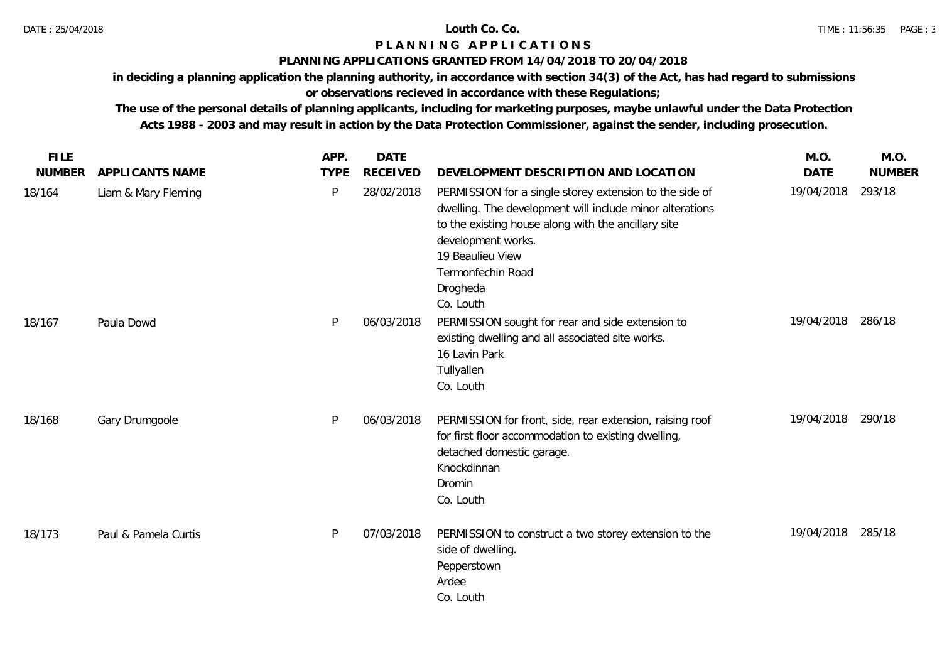### **PLANNING APPLICATIONS GRANTED FROM 14/04/2018 TO 20/04/2018**

**in deciding a planning application the planning authority, in accordance with section 34(3) of the Act, has had regard to submissions** 

# **or observations recieved in accordance with these Regulations;**

**The use of the personal details of planning applicants, including for marketing purposes, maybe unlawful under the Data Protection Acts 1988 - 2003 and may result in action by the Data Protection Commissioner, against the sender, including prosecution.**

| <b>FILE</b>   |                        | APP.        | <b>DATE</b>     |                                                                                                                                                                                                                                                                    | M.O.        | M.O.          |
|---------------|------------------------|-------------|-----------------|--------------------------------------------------------------------------------------------------------------------------------------------------------------------------------------------------------------------------------------------------------------------|-------------|---------------|
| <b>NUMBER</b> | <b>APPLICANTS NAME</b> | <b>TYPE</b> | <b>RECEIVED</b> | DEVELOPMENT DESCRIPTION AND LOCATION                                                                                                                                                                                                                               | <b>DATE</b> | <b>NUMBER</b> |
| 18/164        | Liam & Mary Fleming    | P           | 28/02/2018      | PERMISSION for a single storey extension to the side of<br>dwelling. The development will include minor alterations<br>to the existing house along with the ancillary site<br>development works.<br>19 Beaulieu View<br>Termonfechin Road<br>Drogheda<br>Co. Louth | 19/04/2018  | 293/18        |
| 18/167        | Paula Dowd             | P           | 06/03/2018      | PERMISSION sought for rear and side extension to<br>existing dwelling and all associated site works.<br>16 Lavin Park<br>Tullyallen<br>Co. Louth                                                                                                                   | 19/04/2018  | 286/18        |
| 18/168        | Gary Drumgoole         | P           | 06/03/2018      | PERMISSION for front, side, rear extension, raising roof<br>for first floor accommodation to existing dwelling,<br>detached domestic garage.<br>Knockdinnan<br>Dromin<br>Co. Louth                                                                                 | 19/04/2018  | 290/18        |
| 18/173        | Paul & Pamela Curtis   | P           | 07/03/2018      | PERMISSION to construct a two storey extension to the<br>side of dwelling.<br>Pepperstown<br>Ardee<br>Co. Louth                                                                                                                                                    | 19/04/2018  | 285/18        |